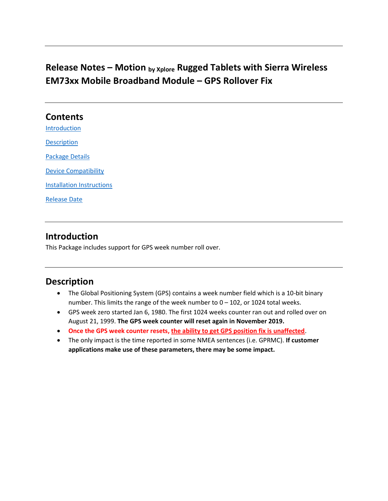# Release Notes – Motion  $_{by\ Xplore}$  Rugged Tablets with Sierra Wireless EM73xx Mobile Broadband Module – GPS Rollover Fix

#### **Contents**

Introduction

**Description** 

Package Details

Device Compatibility

Installation Instructions

Release Date

## Introduction

This Package includes support for GPS week number roll over.

## Description

- The Global Positioning System (GPS) contains a week number field which is a 10-bit binary number. This limits the range of the week number to 0 – 102, or 1024 total weeks.
- GPS week zero started Jan 6, 1980. The first 1024 weeks counter ran out and rolled over on August 21, 1999. The GPS week counter will reset again in November 2019.
- Once the GPS week counter resets, the ability to get GPS position fix is unaffected.
- The only impact is the time reported in some NMEA sentences (i.e. GPRMC). If customer applications make use of these parameters, there may be some impact.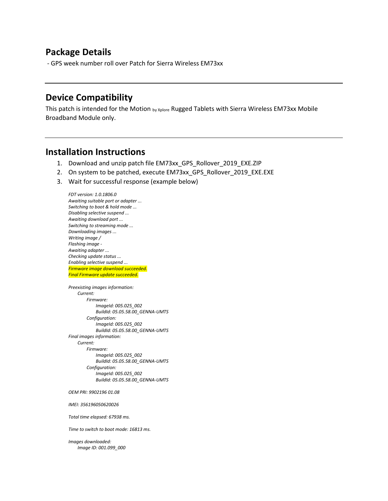#### Package Details

- GPS week number roll over Patch for Sierra Wireless EM73xx

#### Device Compatibility

This patch is intended for the Motion by Xplore Rugged Tablets with Sierra Wireless EM73xx Mobile Broadband Module only.

#### Installation Instructions

- 1. Download and unzip patch file EM73xx\_GPS\_Rollover\_2019\_EXE.ZIP
- 2. On system to be patched, execute EM73xx\_GPS\_Rollover\_2019\_EXE.EXE
- 3. Wait for successful response (example below)

FDT version: 1.0.1806.0 Awaiting suitable port or adapter ... Switching to boot & hold mode ... Disabling selective suspend ... Awaiting download port ... Switching to streaming mode ... Downloading images ... Writing image / Flashing image - Awaiting adapter ... Checking update status ... Enabling selective suspend ... Firmware image download succeeded. Final Firmware update succeeded. Preexisting images information: Current: Firmware: ImageId: 005.025\_002 BuildId: 05.05.58.00\_GENNA-UMTS Configuration: ImageId: 005.025\_002 BuildId: 05.05.58.00\_GENNA-UMTS Final images information: Current: Firmware: ImageId: 005.025\_002 BuildId: 05.05.58.00\_GENNA-UMTS Configuration: ImageId: 005.025\_002 BuildId: 05.05.58.00\_GENNA-UMTS

OEM PRI: 9902196 01.08

IMEI: 356196050620026

Total time elapsed: 67938 ms.

Time to switch to boot mode: 16813 ms.

Images downloaded: Image ID: 001.099\_000